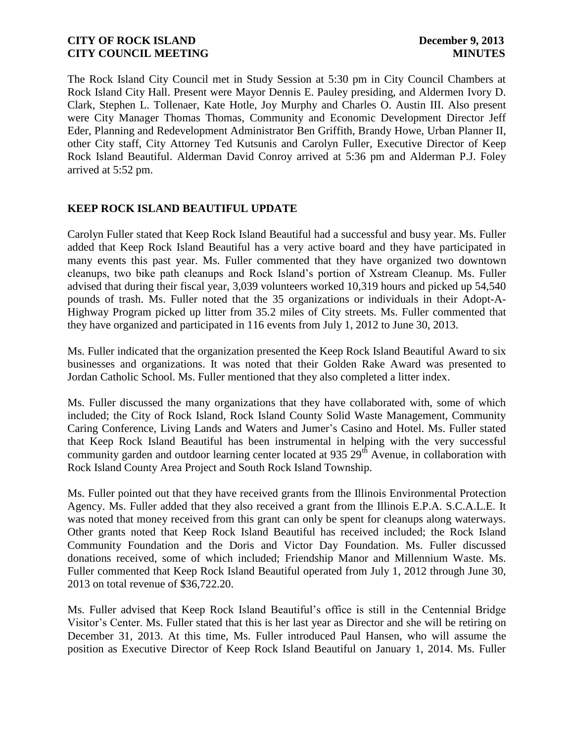The Rock Island City Council met in Study Session at 5:30 pm in City Council Chambers at Rock Island City Hall. Present were Mayor Dennis E. Pauley presiding, and Aldermen Ivory D. Clark, Stephen L. Tollenaer, Kate Hotle, Joy Murphy and Charles O. Austin III. Also present were City Manager Thomas Thomas, Community and Economic Development Director Jeff Eder, Planning and Redevelopment Administrator Ben Griffith, Brandy Howe, Urban Planner II, other City staff, City Attorney Ted Kutsunis and Carolyn Fuller, Executive Director of Keep Rock Island Beautiful. Alderman David Conroy arrived at 5:36 pm and Alderman P.J. Foley arrived at 5:52 pm.

# **KEEP ROCK ISLAND BEAUTIFUL UPDATE**

Carolyn Fuller stated that Keep Rock Island Beautiful had a successful and busy year. Ms. Fuller added that Keep Rock Island Beautiful has a very active board and they have participated in many events this past year. Ms. Fuller commented that they have organized two downtown cleanups, two bike path cleanups and Rock Island's portion of Xstream Cleanup. Ms. Fuller advised that during their fiscal year, 3,039 volunteers worked 10,319 hours and picked up 54,540 pounds of trash. Ms. Fuller noted that the 35 organizations or individuals in their Adopt-A-Highway Program picked up litter from 35.2 miles of City streets. Ms. Fuller commented that they have organized and participated in 116 events from July 1, 2012 to June 30, 2013.

Ms. Fuller indicated that the organization presented the Keep Rock Island Beautiful Award to six businesses and organizations. It was noted that their Golden Rake Award was presented to Jordan Catholic School. Ms. Fuller mentioned that they also completed a litter index.

Ms. Fuller discussed the many organizations that they have collaborated with, some of which included; the City of Rock Island, Rock Island County Solid Waste Management, Community Caring Conference, Living Lands and Waters and Jumer's Casino and Hotel. Ms. Fuller stated that Keep Rock Island Beautiful has been instrumental in helping with the very successful community garden and outdoor learning center located at 935  $29<sup>th</sup>$  Avenue, in collaboration with Rock Island County Area Project and South Rock Island Township.

Ms. Fuller pointed out that they have received grants from the Illinois Environmental Protection Agency. Ms. Fuller added that they also received a grant from the Illinois E.P.A. S.C.A.L.E. It was noted that money received from this grant can only be spent for cleanups along waterways. Other grants noted that Keep Rock Island Beautiful has received included; the Rock Island Community Foundation and the Doris and Victor Day Foundation. Ms. Fuller discussed donations received, some of which included; Friendship Manor and Millennium Waste. Ms. Fuller commented that Keep Rock Island Beautiful operated from July 1, 2012 through June 30, 2013 on total revenue of \$36,722.20.

Ms. Fuller advised that Keep Rock Island Beautiful's office is still in the Centennial Bridge Visitor's Center. Ms. Fuller stated that this is her last year as Director and she will be retiring on December 31, 2013. At this time, Ms. Fuller introduced Paul Hansen, who will assume the position as Executive Director of Keep Rock Island Beautiful on January 1, 2014. Ms. Fuller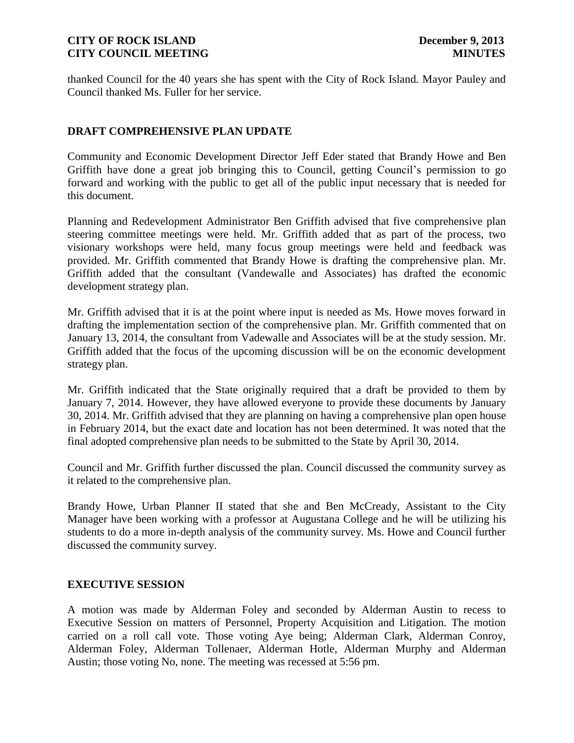thanked Council for the 40 years she has spent with the City of Rock Island. Mayor Pauley and Council thanked Ms. Fuller for her service.

# **DRAFT COMPREHENSIVE PLAN UPDATE**

Community and Economic Development Director Jeff Eder stated that Brandy Howe and Ben Griffith have done a great job bringing this to Council, getting Council's permission to go forward and working with the public to get all of the public input necessary that is needed for this document.

Planning and Redevelopment Administrator Ben Griffith advised that five comprehensive plan steering committee meetings were held. Mr. Griffith added that as part of the process, two visionary workshops were held, many focus group meetings were held and feedback was provided. Mr. Griffith commented that Brandy Howe is drafting the comprehensive plan. Mr. Griffith added that the consultant (Vandewalle and Associates) has drafted the economic development strategy plan.

Mr. Griffith advised that it is at the point where input is needed as Ms. Howe moves forward in drafting the implementation section of the comprehensive plan. Mr. Griffith commented that on January 13, 2014, the consultant from Vadewalle and Associates will be at the study session. Mr. Griffith added that the focus of the upcoming discussion will be on the economic development strategy plan.

Mr. Griffith indicated that the State originally required that a draft be provided to them by January 7, 2014. However, they have allowed everyone to provide these documents by January 30, 2014. Mr. Griffith advised that they are planning on having a comprehensive plan open house in February 2014, but the exact date and location has not been determined. It was noted that the final adopted comprehensive plan needs to be submitted to the State by April 30, 2014.

Council and Mr. Griffith further discussed the plan. Council discussed the community survey as it related to the comprehensive plan.

Brandy Howe, Urban Planner II stated that she and Ben McCready, Assistant to the City Manager have been working with a professor at Augustana College and he will be utilizing his students to do a more in-depth analysis of the community survey. Ms. Howe and Council further discussed the community survey.

### **EXECUTIVE SESSION**

A motion was made by Alderman Foley and seconded by Alderman Austin to recess to Executive Session on matters of Personnel, Property Acquisition and Litigation. The motion carried on a roll call vote. Those voting Aye being; Alderman Clark, Alderman Conroy, Alderman Foley, Alderman Tollenaer, Alderman Hotle, Alderman Murphy and Alderman Austin; those voting No, none. The meeting was recessed at 5:56 pm.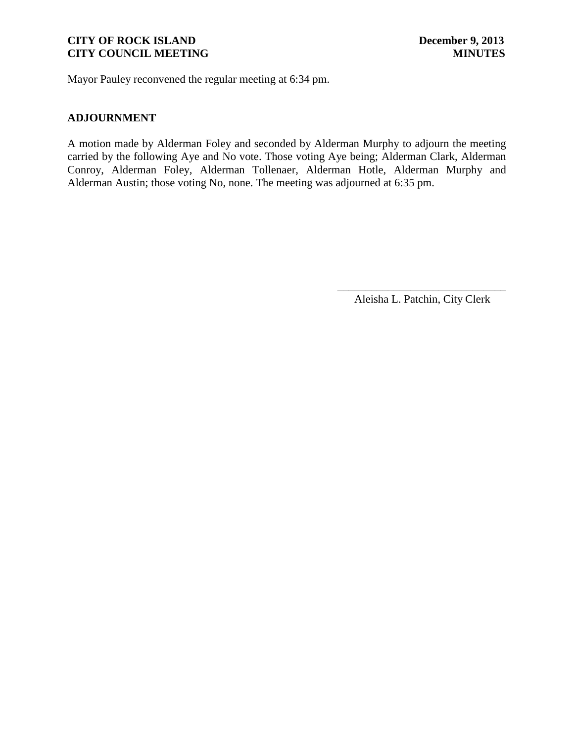Mayor Pauley reconvened the regular meeting at 6:34 pm.

# **ADJOURNMENT**

A motion made by Alderman Foley and seconded by Alderman Murphy to adjourn the meeting carried by the following Aye and No vote. Those voting Aye being; Alderman Clark, Alderman Conroy, Alderman Foley, Alderman Tollenaer, Alderman Hotle, Alderman Murphy and Alderman Austin; those voting No, none. The meeting was adjourned at 6:35 pm.

\_\_\_\_\_\_\_\_\_\_\_\_\_\_\_\_\_\_\_\_\_\_\_\_\_\_\_\_\_\_ Aleisha L. Patchin, City Clerk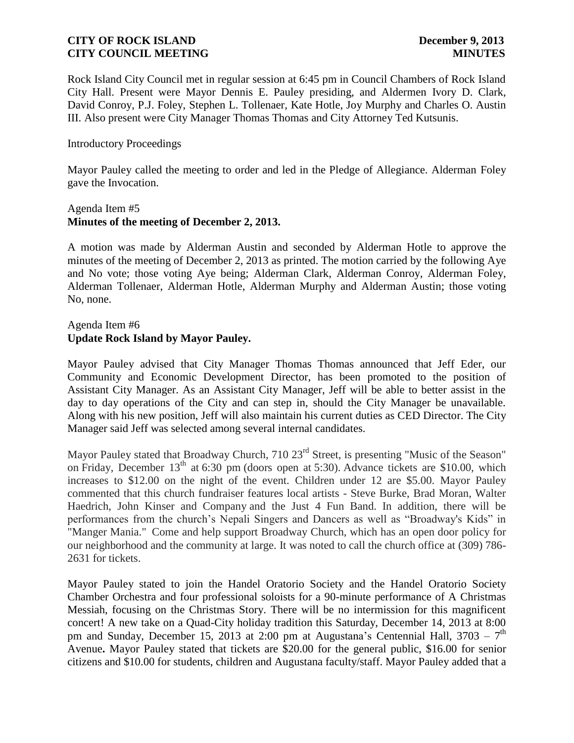Rock Island City Council met in regular session at 6:45 pm in Council Chambers of Rock Island City Hall. Present were Mayor Dennis E. Pauley presiding, and Aldermen Ivory D. Clark, David Conroy, P.J. Foley, Stephen L. Tollenaer, Kate Hotle, Joy Murphy and Charles O. Austin III. Also present were City Manager Thomas Thomas and City Attorney Ted Kutsunis.

### Introductory Proceedings

Mayor Pauley called the meeting to order and led in the Pledge of Allegiance. Alderman Foley gave the Invocation.

### Agenda Item #5 **Minutes of the meeting of December 2, 2013.**

A motion was made by Alderman Austin and seconded by Alderman Hotle to approve the minutes of the meeting of December 2, 2013 as printed. The motion carried by the following Aye and No vote; those voting Aye being; Alderman Clark, Alderman Conroy, Alderman Foley, Alderman Tollenaer, Alderman Hotle, Alderman Murphy and Alderman Austin; those voting No, none.

### Agenda Item #6 **Update Rock Island by Mayor Pauley.**

Mayor Pauley advised that City Manager Thomas Thomas announced that Jeff Eder, our Community and Economic Development Director, has been promoted to the position of Assistant City Manager. As an Assistant City Manager, Jeff will be able to better assist in the day to day operations of the City and can step in, should the City Manager be unavailable. Along with his new position, Jeff will also maintain his current duties as CED Director. The City Manager said Jeff was selected among several internal candidates.

Mayor Pauley stated that Broadway Church, 710 23<sup>rd</sup> Street, is presenting "Music of the Season" on Friday, December  $13<sup>th</sup>$  at 6:30 pm (doors open at 5:30). Advance tickets are \$10.00, which increases to \$12.00 on the night of the event. Children under 12 are \$5.00. Mayor Pauley commented that this church fundraiser features local artists - Steve Burke, Brad Moran, Walter Haedrich, John Kinser and Company and the Just 4 Fun Band. In addition, there will be performances from the church's Nepali Singers and Dancers as well as "Broadway's Kids" in "Manger Mania." Come and help support Broadway Church, which has an open door policy for our neighborhood and the community at large. It was noted to call the church office at (309) 786- 2631 for tickets.

Mayor Pauley stated to join the Handel Oratorio Society and the Handel Oratorio Society Chamber Orchestra and four professional soloists for a 90-minute performance of A Christmas Messiah, focusing on the Christmas Story. There will be no intermission for this magnificent concert! A new take on a Quad-City holiday tradition this Saturday, December 14, 2013 at 8:00 pm and Sunday, December 15, 2013 at 2:00 pm at Augustana's Centennial Hall,  $3703 - 7$ <sup>th</sup> Avenue**.** Mayor Pauley stated that tickets are \$20.00 for the general public, \$16.00 for senior citizens and \$10.00 for students, children and Augustana faculty/staff. Mayor Pauley added that a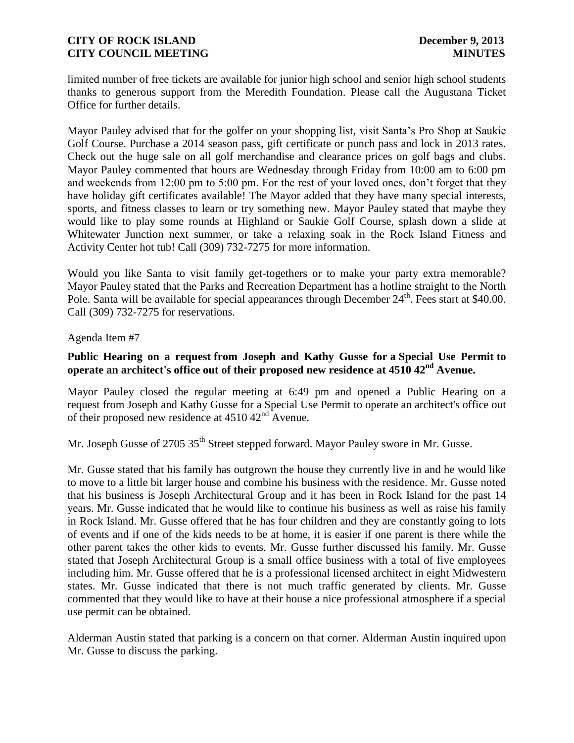limited number of free tickets are available for junior high school and senior high school students thanks to generous support from the Meredith Foundation. Please call the Augustana Ticket Office for further details.

Mayor Pauley advised that for the golfer on your shopping list, visit Santa's Pro Shop at Saukie Golf Course. Purchase a 2014 season pass, gift certificate or punch pass and lock in 2013 rates. Check out the huge sale on all golf merchandise and clearance prices on golf bags and clubs. Mayor Pauley commented that hours are Wednesday through Friday from 10:00 am to 6:00 pm and weekends from 12:00 pm to 5:00 pm. For the rest of your loved ones, don't forget that they have holiday gift certificates available! The Mayor added that they have many special interests, sports, and fitness classes to learn or try something new. Mayor Pauley stated that maybe they would like to play some rounds at Highland or Saukie Golf Course, splash down a slide at Whitewater Junction next summer, or take a relaxing soak in the Rock Island Fitness and Activity Center hot tub! Call (309) 732-7275 for more information.

Would you like Santa to visit family get-togethers or to make your party extra memorable? Mayor Pauley stated that the Parks and Recreation Department has a hotline straight to the North Pole. Santa will be available for special appearances through December  $24<sup>th</sup>$ . Fees start at \$40.00. Call (309) 732-7275 for reservations.

### Agenda Item #7

# **Public Hearing on a request from Joseph and Kathy Gusse for a Special Use Permit to operate an architect's office out of their proposed new residence at 4510 42nd Avenue.**

Mayor Pauley closed the regular meeting at 6:49 pm and opened a Public Hearing on a request from Joseph and Kathy Gusse for a Special Use Permit to operate an architect's office out of their proposed new residence at  $4510 \, 42^{\text{nd}}$  Avenue.

Mr. Joseph Gusse of 2705 35<sup>th</sup> Street stepped forward. Mayor Pauley swore in Mr. Gusse.

Mr. Gusse stated that his family has outgrown the house they currently live in and he would like to move to a little bit larger house and combine his business with the residence. Mr. Gusse noted that his business is Joseph Architectural Group and it has been in Rock Island for the past 14 years. Mr. Gusse indicated that he would like to continue his business as well as raise his family in Rock Island. Mr. Gusse offered that he has four children and they are constantly going to lots of events and if one of the kids needs to be at home, it is easier if one parent is there while the other parent takes the other kids to events. Mr. Gusse further discussed his family. Mr. Gusse stated that Joseph Architectural Group is a small office business with a total of five employees including him. Mr. Gusse offered that he is a professional licensed architect in eight Midwestern states. Mr. Gusse indicated that there is not much traffic generated by clients. Mr. Gusse commented that they would like to have at their house a nice professional atmosphere if a special use permit can be obtained.

Alderman Austin stated that parking is a concern on that corner. Alderman Austin inquired upon Mr. Gusse to discuss the parking.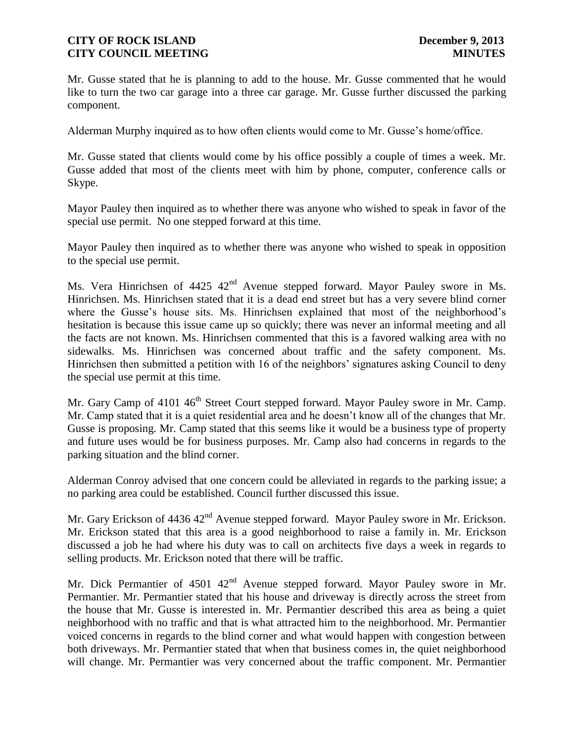Mr. Gusse stated that he is planning to add to the house. Mr. Gusse commented that he would like to turn the two car garage into a three car garage. Mr. Gusse further discussed the parking component.

Alderman Murphy inquired as to how often clients would come to Mr. Gusse's home/office.

Mr. Gusse stated that clients would come by his office possibly a couple of times a week. Mr. Gusse added that most of the clients meet with him by phone, computer, conference calls or Skype.

Mayor Pauley then inquired as to whether there was anyone who wished to speak in favor of the special use permit. No one stepped forward at this time.

Mayor Pauley then inquired as to whether there was anyone who wished to speak in opposition to the special use permit.

Ms. Vera Hinrichsen of 4425 42<sup>nd</sup> Avenue stepped forward. Mayor Pauley swore in Ms. Hinrichsen. Ms. Hinrichsen stated that it is a dead end street but has a very severe blind corner where the Gusse's house sits. Ms. Hinrichsen explained that most of the neighborhood's hesitation is because this issue came up so quickly; there was never an informal meeting and all the facts are not known. Ms. Hinrichsen commented that this is a favored walking area with no sidewalks. Ms. Hinrichsen was concerned about traffic and the safety component. Ms. Hinrichsen then submitted a petition with 16 of the neighbors' signatures asking Council to deny the special use permit at this time.

Mr. Gary Camp of 4101 46<sup>th</sup> Street Court stepped forward. Mayor Pauley swore in Mr. Camp. Mr. Camp stated that it is a quiet residential area and he doesn't know all of the changes that Mr. Gusse is proposing. Mr. Camp stated that this seems like it would be a business type of property and future uses would be for business purposes. Mr. Camp also had concerns in regards to the parking situation and the blind corner.

Alderman Conroy advised that one concern could be alleviated in regards to the parking issue; a no parking area could be established. Council further discussed this issue.

Mr. Gary Erickson of 4436 42<sup>nd</sup> Avenue stepped forward. Mayor Pauley swore in Mr. Erickson. Mr. Erickson stated that this area is a good neighborhood to raise a family in. Mr. Erickson discussed a job he had where his duty was to call on architects five days a week in regards to selling products. Mr. Erickson noted that there will be traffic.

Mr. Dick Permantier of 4501 42<sup>nd</sup> Avenue stepped forward. Mayor Pauley swore in Mr. Permantier. Mr. Permantier stated that his house and driveway is directly across the street from the house that Mr. Gusse is interested in. Mr. Permantier described this area as being a quiet neighborhood with no traffic and that is what attracted him to the neighborhood. Mr. Permantier voiced concerns in regards to the blind corner and what would happen with congestion between both driveways. Mr. Permantier stated that when that business comes in, the quiet neighborhood will change. Mr. Permantier was very concerned about the traffic component. Mr. Permantier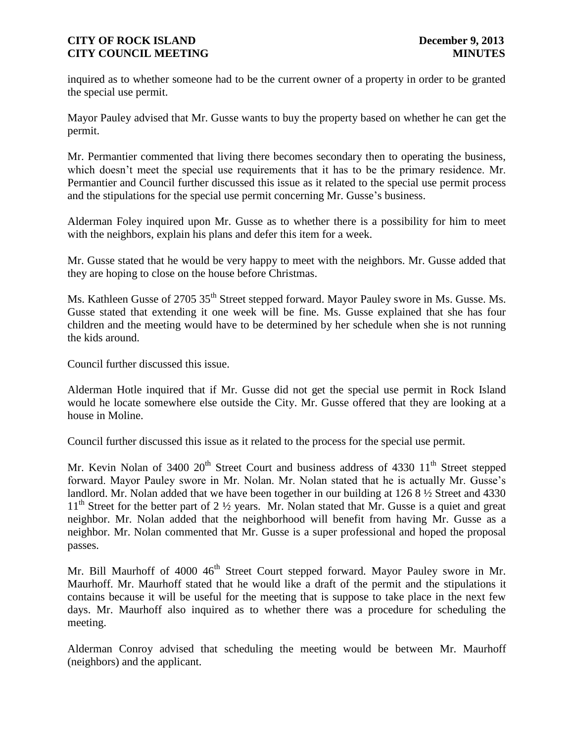inquired as to whether someone had to be the current owner of a property in order to be granted the special use permit.

Mayor Pauley advised that Mr. Gusse wants to buy the property based on whether he can get the permit.

Mr. Permantier commented that living there becomes secondary then to operating the business, which doesn't meet the special use requirements that it has to be the primary residence. Mr. Permantier and Council further discussed this issue as it related to the special use permit process and the stipulations for the special use permit concerning Mr. Gusse's business.

Alderman Foley inquired upon Mr. Gusse as to whether there is a possibility for him to meet with the neighbors, explain his plans and defer this item for a week.

Mr. Gusse stated that he would be very happy to meet with the neighbors. Mr. Gusse added that they are hoping to close on the house before Christmas.

Ms. Kathleen Gusse of 2705 35<sup>th</sup> Street stepped forward. Mayor Pauley swore in Ms. Gusse. Ms. Gusse stated that extending it one week will be fine. Ms. Gusse explained that she has four children and the meeting would have to be determined by her schedule when she is not running the kids around.

Council further discussed this issue.

Alderman Hotle inquired that if Mr. Gusse did not get the special use permit in Rock Island would he locate somewhere else outside the City. Mr. Gusse offered that they are looking at a house in Moline.

Council further discussed this issue as it related to the process for the special use permit.

Mr. Kevin Nolan of 3400  $20<sup>th</sup>$  Street Court and business address of 4330  $11<sup>th</sup>$  Street stepped forward. Mayor Pauley swore in Mr. Nolan. Mr. Nolan stated that he is actually Mr. Gusse's landlord. Mr. Nolan added that we have been together in our building at 126 8 ½ Street and 4330  $11<sup>th</sup>$  Street for the better part of 2  $\frac{1}{2}$  years. Mr. Nolan stated that Mr. Gusse is a quiet and great neighbor. Mr. Nolan added that the neighborhood will benefit from having Mr. Gusse as a neighbor. Mr. Nolan commented that Mr. Gusse is a super professional and hoped the proposal passes.

Mr. Bill Maurhoff of 4000 46<sup>th</sup> Street Court stepped forward. Mayor Pauley swore in Mr. Maurhoff. Mr. Maurhoff stated that he would like a draft of the permit and the stipulations it contains because it will be useful for the meeting that is suppose to take place in the next few days. Mr. Maurhoff also inquired as to whether there was a procedure for scheduling the meeting.

Alderman Conroy advised that scheduling the meeting would be between Mr. Maurhoff (neighbors) and the applicant.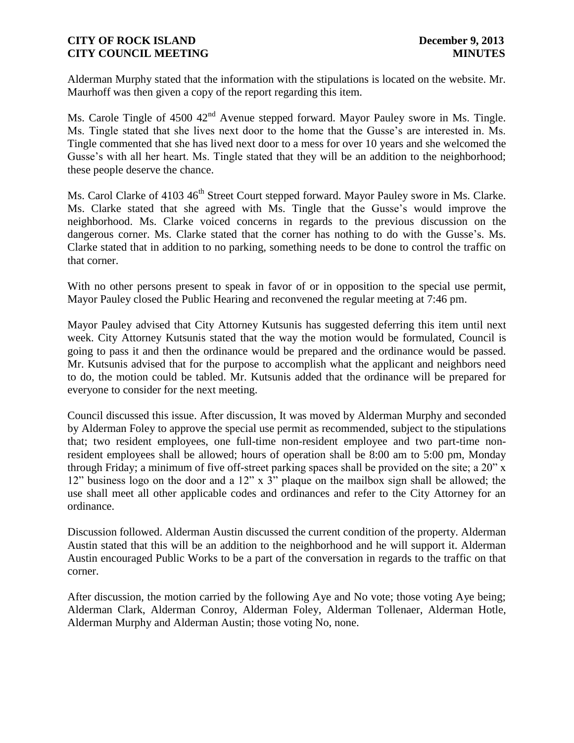Alderman Murphy stated that the information with the stipulations is located on the website. Mr. Maurhoff was then given a copy of the report regarding this item.

Ms. Carole Tingle of 4500 42<sup>nd</sup> Avenue stepped forward. Mayor Pauley swore in Ms. Tingle. Ms. Tingle stated that she lives next door to the home that the Gusse's are interested in. Ms. Tingle commented that she has lived next door to a mess for over 10 years and she welcomed the Gusse's with all her heart. Ms. Tingle stated that they will be an addition to the neighborhood; these people deserve the chance.

Ms. Carol Clarke of 4103 46<sup>th</sup> Street Court stepped forward. Mayor Pauley swore in Ms. Clarke. Ms. Clarke stated that she agreed with Ms. Tingle that the Gusse's would improve the neighborhood. Ms. Clarke voiced concerns in regards to the previous discussion on the dangerous corner. Ms. Clarke stated that the corner has nothing to do with the Gusse's. Ms. Clarke stated that in addition to no parking, something needs to be done to control the traffic on that corner.

With no other persons present to speak in favor of or in opposition to the special use permit, Mayor Pauley closed the Public Hearing and reconvened the regular meeting at 7:46 pm.

Mayor Pauley advised that City Attorney Kutsunis has suggested deferring this item until next week. City Attorney Kutsunis stated that the way the motion would be formulated, Council is going to pass it and then the ordinance would be prepared and the ordinance would be passed. Mr. Kutsunis advised that for the purpose to accomplish what the applicant and neighbors need to do, the motion could be tabled. Mr. Kutsunis added that the ordinance will be prepared for everyone to consider for the next meeting.

Council discussed this issue. After discussion, It was moved by Alderman Murphy and seconded by Alderman Foley to approve the special use permit as recommended, subject to the stipulations that; two resident employees, one full-time non-resident employee and two part-time nonresident employees shall be allowed; hours of operation shall be 8:00 am to 5:00 pm, Monday through Friday; a minimum of five off-street parking spaces shall be provided on the site; a 20" x 12" business logo on the door and a 12" x 3" plaque on the mailbox sign shall be allowed; the use shall meet all other applicable codes and ordinances and refer to the City Attorney for an ordinance.

Discussion followed. Alderman Austin discussed the current condition of the property. Alderman Austin stated that this will be an addition to the neighborhood and he will support it. Alderman Austin encouraged Public Works to be a part of the conversation in regards to the traffic on that corner.

After discussion, the motion carried by the following Aye and No vote; those voting Aye being; Alderman Clark, Alderman Conroy, Alderman Foley, Alderman Tollenaer, Alderman Hotle, Alderman Murphy and Alderman Austin; those voting No, none.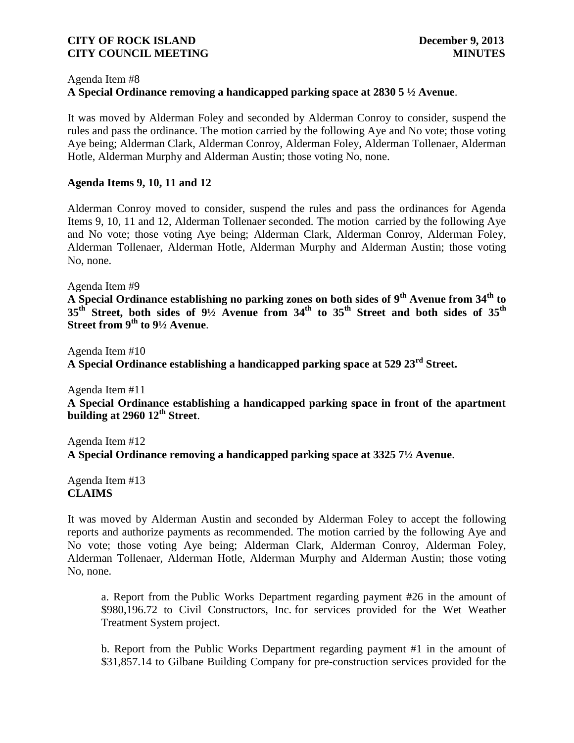#### Agenda Item #8

# **A Special Ordinance removing a handicapped parking space at 2830 5 ½ Avenue**.

It was moved by Alderman Foley and seconded by Alderman Conroy to consider, suspend the rules and pass the ordinance. The motion carried by the following Aye and No vote; those voting Aye being; Alderman Clark, Alderman Conroy, Alderman Foley, Alderman Tollenaer, Alderman Hotle, Alderman Murphy and Alderman Austin; those voting No, none.

### **Agenda Items 9, 10, 11 and 12**

Alderman Conroy moved to consider, suspend the rules and pass the ordinances for Agenda Items 9, 10, 11 and 12, Alderman Tollenaer seconded. The motion carried by the following Aye and No vote; those voting Aye being; Alderman Clark, Alderman Conroy, Alderman Foley, Alderman Tollenaer, Alderman Hotle, Alderman Murphy and Alderman Austin; those voting No, none.

Agenda Item #9

**A Special Ordinance establishing no parking zones on both sides of 9th Avenue from 34th to 35th Street, both sides of 9½ Avenue from 34th to 35th Street and both sides of 35th Street from 9th to 9½ Avenue**.

Agenda Item #10 **A Special Ordinance establishing a handicapped parking space at 529 23rd Street.**

Agenda Item #11

**A Special Ordinance establishing a handicapped parking space in front of the apartment building at 2960 12th Street**.

Agenda Item #12 **A Special Ordinance removing a handicapped parking space at 3325 7½ Avenue**.

Agenda Item #13 **CLAIMS**

It was moved by Alderman Austin and seconded by Alderman Foley to accept the following reports and authorize payments as recommended. The motion carried by the following Aye and No vote; those voting Aye being; Alderman Clark, Alderman Conroy, Alderman Foley, Alderman Tollenaer, Alderman Hotle, Alderman Murphy and Alderman Austin; those voting No, none.

a. Report from the Public Works Department regarding payment #26 in the amount of \$980,196.72 to Civil Constructors, Inc. for services provided for the Wet Weather Treatment System project.

b. Report from the Public Works Department regarding payment #1 in the amount of \$31,857.14 to Gilbane Building Company for pre-construction services provided for the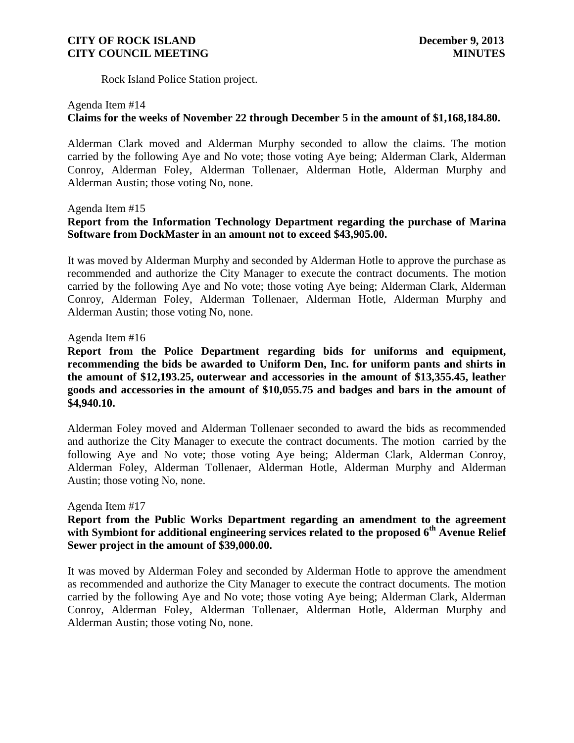Rock Island Police Station project.

### Agenda Item #14

# **Claims for the weeks of November 22 through December 5 in the amount of \$1,168,184.80.**

Alderman Clark moved and Alderman Murphy seconded to allow the claims. The motion carried by the following Aye and No vote; those voting Aye being; Alderman Clark, Alderman Conroy, Alderman Foley, Alderman Tollenaer, Alderman Hotle, Alderman Murphy and Alderman Austin; those voting No, none.

#### Agenda Item #15

# **Report from the Information Technology Department regarding the purchase of Marina Software from DockMaster in an amount not to exceed \$43,905.00.**

It was moved by Alderman Murphy and seconded by Alderman Hotle to approve the purchase as recommended and authorize the City Manager to execute the contract documents. The motion carried by the following Aye and No vote; those voting Aye being; Alderman Clark, Alderman Conroy, Alderman Foley, Alderman Tollenaer, Alderman Hotle, Alderman Murphy and Alderman Austin; those voting No, none.

#### Agenda Item #16

**Report from the Police Department regarding bids for uniforms and equipment, recommending the bids be awarded to Uniform Den, Inc. for uniform pants and shirts in the amount of \$12,193.25, outerwear and accessories in the amount of \$13,355.45, leather goods and accessories in the amount of \$10,055.75 and badges and bars in the amount of \$4,940.10.**

Alderman Foley moved and Alderman Tollenaer seconded to award the bids as recommended and authorize the City Manager to execute the contract documents. The motion carried by the following Aye and No vote; those voting Aye being; Alderman Clark, Alderman Conroy, Alderman Foley, Alderman Tollenaer, Alderman Hotle, Alderman Murphy and Alderman Austin; those voting No, none.

# Agenda Item #17

### **Report from the Public Works Department regarding an amendment to the agreement with Symbiont for additional engineering services related to the proposed 6th Avenue Relief Sewer project in the amount of \$39,000.00.**

It was moved by Alderman Foley and seconded by Alderman Hotle to approve the amendment as recommended and authorize the City Manager to execute the contract documents. The motion carried by the following Aye and No vote; those voting Aye being; Alderman Clark, Alderman Conroy, Alderman Foley, Alderman Tollenaer, Alderman Hotle, Alderman Murphy and Alderman Austin; those voting No, none.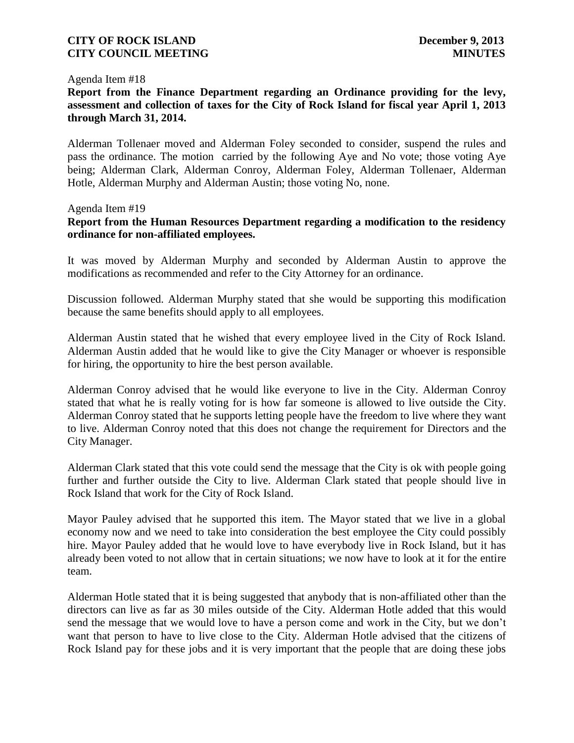#### Agenda Item #18

# **Report from the Finance Department regarding an Ordinance providing for the levy, assessment and collection of taxes for the City of Rock Island for fiscal year April 1, 2013 through March 31, 2014.**

Alderman Tollenaer moved and Alderman Foley seconded to consider, suspend the rules and pass the ordinance. The motion carried by the following Aye and No vote; those voting Aye being; Alderman Clark, Alderman Conroy, Alderman Foley, Alderman Tollenaer, Alderman Hotle, Alderman Murphy and Alderman Austin; those voting No, none.

#### Agenda Item #19

# **Report from the Human Resources Department regarding a modification to the residency ordinance for non-affiliated employees.**

It was moved by Alderman Murphy and seconded by Alderman Austin to approve the modifications as recommended and refer to the City Attorney for an ordinance.

Discussion followed. Alderman Murphy stated that she would be supporting this modification because the same benefits should apply to all employees.

Alderman Austin stated that he wished that every employee lived in the City of Rock Island. Alderman Austin added that he would like to give the City Manager or whoever is responsible for hiring, the opportunity to hire the best person available.

Alderman Conroy advised that he would like everyone to live in the City. Alderman Conroy stated that what he is really voting for is how far someone is allowed to live outside the City. Alderman Conroy stated that he supports letting people have the freedom to live where they want to live. Alderman Conroy noted that this does not change the requirement for Directors and the City Manager.

Alderman Clark stated that this vote could send the message that the City is ok with people going further and further outside the City to live. Alderman Clark stated that people should live in Rock Island that work for the City of Rock Island.

Mayor Pauley advised that he supported this item. The Mayor stated that we live in a global economy now and we need to take into consideration the best employee the City could possibly hire. Mayor Pauley added that he would love to have everybody live in Rock Island, but it has already been voted to not allow that in certain situations; we now have to look at it for the entire team.

Alderman Hotle stated that it is being suggested that anybody that is non-affiliated other than the directors can live as far as 30 miles outside of the City. Alderman Hotle added that this would send the message that we would love to have a person come and work in the City, but we don't want that person to have to live close to the City. Alderman Hotle advised that the citizens of Rock Island pay for these jobs and it is very important that the people that are doing these jobs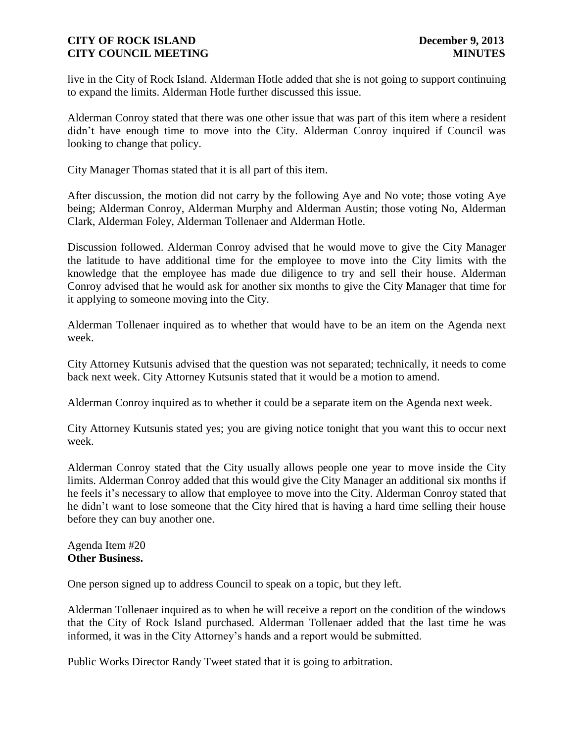live in the City of Rock Island. Alderman Hotle added that she is not going to support continuing to expand the limits. Alderman Hotle further discussed this issue.

Alderman Conroy stated that there was one other issue that was part of this item where a resident didn't have enough time to move into the City. Alderman Conroy inquired if Council was looking to change that policy.

City Manager Thomas stated that it is all part of this item.

After discussion, the motion did not carry by the following Aye and No vote; those voting Aye being; Alderman Conroy, Alderman Murphy and Alderman Austin; those voting No, Alderman Clark, Alderman Foley, Alderman Tollenaer and Alderman Hotle.

Discussion followed. Alderman Conroy advised that he would move to give the City Manager the latitude to have additional time for the employee to move into the City limits with the knowledge that the employee has made due diligence to try and sell their house. Alderman Conroy advised that he would ask for another six months to give the City Manager that time for it applying to someone moving into the City.

Alderman Tollenaer inquired as to whether that would have to be an item on the Agenda next week.

City Attorney Kutsunis advised that the question was not separated; technically, it needs to come back next week. City Attorney Kutsunis stated that it would be a motion to amend.

Alderman Conroy inquired as to whether it could be a separate item on the Agenda next week.

City Attorney Kutsunis stated yes; you are giving notice tonight that you want this to occur next week.

Alderman Conroy stated that the City usually allows people one year to move inside the City limits. Alderman Conroy added that this would give the City Manager an additional six months if he feels it's necessary to allow that employee to move into the City. Alderman Conroy stated that he didn't want to lose someone that the City hired that is having a hard time selling their house before they can buy another one.

Agenda Item #20 **Other Business.**

One person signed up to address Council to speak on a topic, but they left.

Alderman Tollenaer inquired as to when he will receive a report on the condition of the windows that the City of Rock Island purchased. Alderman Tollenaer added that the last time he was informed, it was in the City Attorney's hands and a report would be submitted.

Public Works Director Randy Tweet stated that it is going to arbitration.